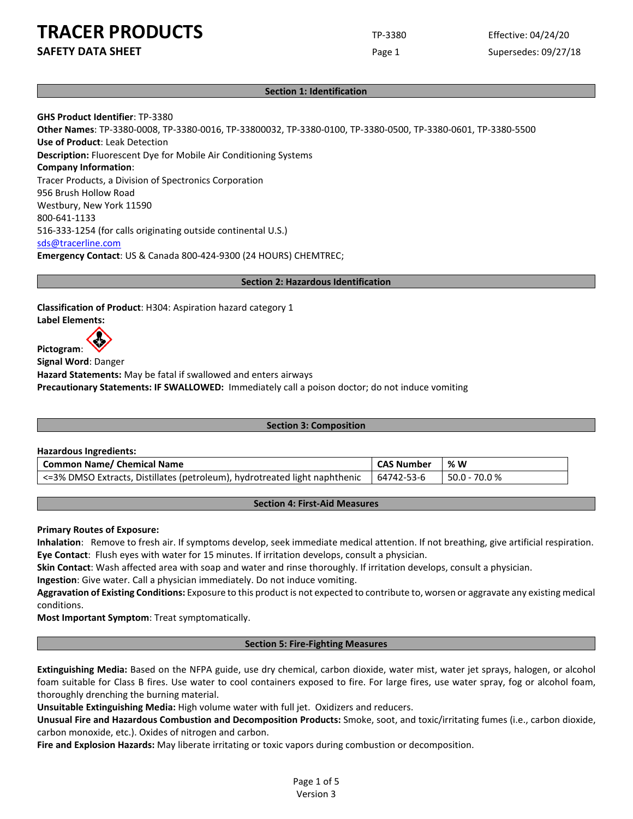**SAFETY DATA SHEET** SUPERFOUR CONSUMING THE Page 1 Supersedes: 09/27/18

## **Section 1: Identification**

**GHS Product Identifier**: TP-3380

**Other Names**: TP-3380-0008, TP-3380-0016, TP-33800032, TP-3380-0100, TP-3380-0500, TP-3380-0601, TP-3380-5500 **Use of Product**: Leak Detection **Description:** Fluorescent Dye for Mobile Air Conditioning Systems **Company Information**: Tracer Products, a Division of Spectronics Corporation 956 Brush Hollow Road Westbury, New York 11590 800-641-1133 516-333-1254 (for calls originating outside continental U.S.) [sds@tracerline.com](mailto:sds@tracerline.com) **Emergency Contact**: US & Canada 800-424-9300 (24 HOURS) CHEMTREC;

#### **Section 2: Hazardous Identification**

**Classification of Product**: H304: Aspiration hazard category 1 **Label Elements:**

**Pictogram**:

**Signal Word**: Danger **Hazard Statements:** May be fatal if swallowed and enters airways **Precautionary Statements: IF SWALLOWED:** Immediately call a poison doctor; do not induce vomiting

#### **Section 3: Composition**

**Hazardous Ingredients:**

| Common Name/ Chemical Name                                                 | <b>CAS Number</b> | % W           |
|----------------------------------------------------------------------------|-------------------|---------------|
| <=3% DMSO Extracts, Distillates (petroleum), hydrotreated light naphthenic | 64742-53-6        | 50.0 - 70.0 % |

## **Section 4: First-Aid Measures**

**Primary Routes of Exposure:**

**Inhalation**: Remove to fresh air. If symptoms develop, seek immediate medical attention. If not breathing, give artificial respiration. **Eye Contact**: Flush eyes with water for 15 minutes. If irritation develops, consult a physician.

**Skin Contact**: Wash affected area with soap and water and rinse thoroughly. If irritation develops, consult a physician.

**Ingestion**: Give water. Call a physician immediately. Do not induce vomiting.

**Aggravation of Existing Conditions:** Exposure to this product is not expected to contribute to, worsen or aggravate any existing medical conditions.

**Most Important Symptom**: Treat symptomatically.

## **Section 5: Fire-Fighting Measures**

**Extinguishing Media:** Based on the NFPA guide, use dry chemical, carbon dioxide, water mist, water jet sprays, halogen, or alcohol foam suitable for Class B fires. Use water to cool containers exposed to fire. For large fires, use water spray, fog or alcohol foam, thoroughly drenching the burning material.

**Unsuitable Extinguishing Media:** High volume water with full jet. Oxidizers and reducers.

**Unusual Fire and Hazardous Combustion and Decomposition Products:** Smoke, soot, and toxic/irritating fumes (i.e., carbon dioxide, carbon monoxide, etc.). Oxides of nitrogen and carbon.

**Fire and Explosion Hazards:** May liberate irritating or toxic vapors during combustion or decomposition.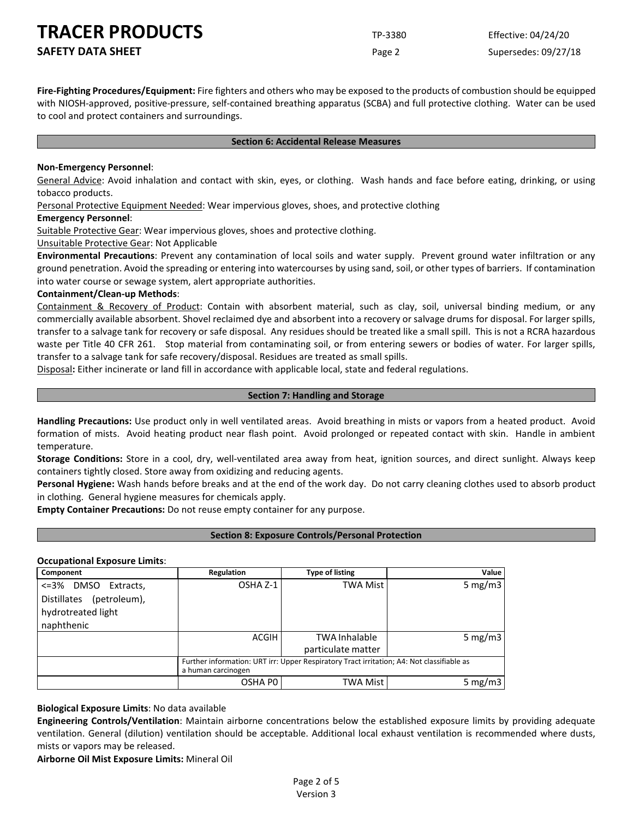**SAFETY DATA SHEET** SUPERFOUR CONSIDERING Page 2 Supersedes: 09/27/18

**Fire-Fighting Procedures/Equipment:** Fire fighters and others who may be exposed to the products of combustion should be equipped with NIOSH-approved, positive-pressure, self-contained breathing apparatus (SCBA) and full protective clothing. Water can be used to cool and protect containers and surroundings.

#### **Section 6: Accidental Release Measures**

#### **Non-Emergency Personnel**:

General Advice: Avoid inhalation and contact with skin, eyes, or clothing. Wash hands and face before eating, drinking, or using tobacco products.

Personal Protective Equipment Needed: Wear impervious gloves, shoes, and protective clothing

#### **Emergency Personnel**:

Suitable Protective Gear: Wear impervious gloves, shoes and protective clothing.

Unsuitable Protective Gear: Not Applicable

**Environmental Precautions**: Prevent any contamination of local soils and water supply. Prevent ground water infiltration or any ground penetration. Avoid the spreading or entering into watercourses by using sand, soil, or other types of barriers. If contamination into water course or sewage system, alert appropriate authorities.

#### **Containment/Clean-up Methods**:

Containment & Recovery of Product: Contain with absorbent material, such as clay, soil, universal binding medium, or any commercially available absorbent. Shovel reclaimed dye and absorbent into a recovery or salvage drums for disposal. For larger spills, transfer to a salvage tank for recovery or safe disposal. Any residues should be treated like a small spill. This is not a RCRA hazardous waste per Title 40 CFR 261. Stop material from contaminating soil, or from entering sewers or bodies of water. For larger spills, transfer to a salvage tank for safe recovery/disposal. Residues are treated as small spills.

Disposal**:** Either incinerate or land fill in accordance with applicable local, state and federal regulations.

#### **Section 7: Handling and Storage**

**Handling Precautions:** Use product only in well ventilated areas. Avoid breathing in mists or vapors from a heated product. Avoid formation of mists. Avoid heating product near flash point. Avoid prolonged or repeated contact with skin. Handle in ambient temperature.

**Storage Conditions:** Store in a cool, dry, well-ventilated area away from heat, ignition sources, and direct sunlight. Always keep containers tightly closed. Store away from oxidizing and reducing agents.

**Personal Hygiene:** Wash hands before breaks and at the end of the work day. Do not carry cleaning clothes used to absorb product in clothing. General hygiene measures for chemicals apply.

**Empty Container Precautions:** Do not reuse empty container for any purpose.

## **Section 8: Exposure Controls/Personal Protection**

## **Occupational Exposure Limits**:

| Component                   | Regulation                                                                                                      | Type of listing      | Value      |
|-----------------------------|-----------------------------------------------------------------------------------------------------------------|----------------------|------------|
| <=3%<br>DMSO Extracts,      | OSHA Z-1                                                                                                        | TWA Mist             | 5 mg/m $3$ |
| (petroleum),<br>Distillates |                                                                                                                 |                      |            |
| hydrotreated light          |                                                                                                                 |                      |            |
| naphthenic                  |                                                                                                                 |                      |            |
|                             | ACGIH                                                                                                           | <b>TWA Inhalable</b> | 5 mg/m $3$ |
|                             |                                                                                                                 | particulate matter   |            |
|                             | Further information: URT irr: Upper Respiratory Tract irritation; A4: Not classifiable as<br>a human carcinogen |                      |            |
|                             | OSHA PO                                                                                                         | TWA Mist             | 5 mg/m $3$ |

**Biological Exposure Limits**: No data available

**Engineering Controls/Ventilation**: Maintain airborne concentrations below the established exposure limits by providing adequate ventilation. General (dilution) ventilation should be acceptable. Additional local exhaust ventilation is recommended where dusts, mists or vapors may be released.

**Airborne Oil Mist Exposure Limits:** Mineral Oil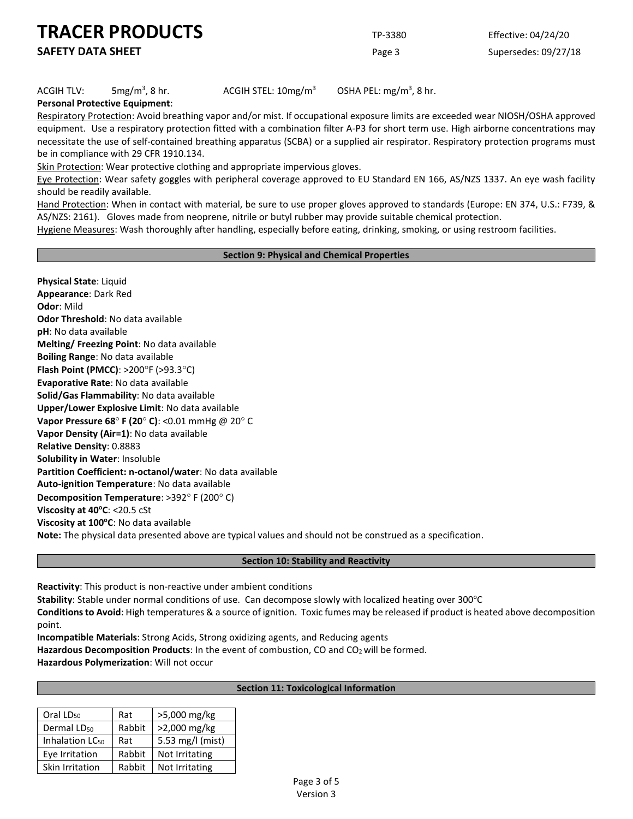**SAFETY DATA SHEET** SUPERFOUR CONSUMING THE Page 3 Supersedes: 09/27/18

#### $ACGIH TLV:$  5mg/m<sup>3</sup>, 8 hr.

ACGIH STEL:  $10$ mg/m<sup>3</sup>

OSHA PEL:  $mg/m<sup>3</sup>$ , 8 hr.

**Personal Protective Equipment**:

Respiratory Protection: Avoid breathing vapor and/or mist. If occupational exposure limits are exceeded wear NIOSH/OSHA approved equipment. Use a respiratory protection fitted with a combination filter A-P3 for short term use. High airborne concentrations may necessitate the use of self-contained breathing apparatus (SCBA) or a supplied air respirator. Respiratory protection programs must be in compliance with 29 CFR 1910.134.

Skin Protection: Wear protective clothing and appropriate impervious gloves.

Eye Protection: Wear safety goggles with peripheral coverage approved to EU Standard EN 166, AS/NZS 1337. An eye wash facility should be readily available.

Hand Protection: When in contact with material, be sure to use proper gloves approved to standards (Europe: EN 374, U.S.: F739, & AS/NZS: 2161). Gloves made from neoprene, nitrile or butyl rubber may provide suitable chemical protection.

Hygiene Measures: Wash thoroughly after handling, especially before eating, drinking, smoking, or using restroom facilities.

#### **Section 9: Physical and Chemical Properties**

**Physical State**: Liquid **Appearance**: Dark Red **Odor**: Mild **Odor Threshold**: No data available **pH**: No data available **Melting/ Freezing Point**: No data available **Boiling Range**: No data available **Flash Point (PMCC)**: >200°F (>93.3°C) **Evaporative Rate**: No data available **Solid/Gas Flammability**: No data available **Upper/Lower Explosive Limit**: No data available **Vapor Pressure 68**° **F (20**° **C)**: <0.01 mmHg @ 20° C **Vapor Density (Air=1)**: No data available **Relative Density**: 0.8883 **Solubility in Water**: Insoluble **Partition Coefficient: n-octanol/water**: No data available **Auto-ignition Temperature**: No data available **Decomposition Temperature**: >392° F (200° C) **Viscosity at 40°C: <20.5 cSt** Viscosity at 100°C: No data available **Note:** The physical data presented above are typical values and should not be construed as a specification.

**Section 10: Stability and Reactivity**

**Reactivity**: This product is non-reactive under ambient conditions

**Stability**: Stable under normal conditions of use. Can decompose slowly with localized heating over 300°C

**Conditions to Avoid**: High temperatures & a source of ignition. Toxic fumes may be released if product is heated above decomposition point.

**Incompatible Materials**: Strong Acids, Strong oxidizing agents, and Reducing agents

Hazardous Decomposition Products: In the event of combustion, CO and CO<sub>2</sub> will be formed.

**Hazardous Polymerization**: Will not occur

#### **Section 11: Toxicological Information**

| Oral LD <sub>50</sub>       | Rat    | >5,000 mg/kg     |
|-----------------------------|--------|------------------|
| Dermal LD <sub>50</sub>     | Rabbit | >2,000 mg/kg     |
| Inhalation LC <sub>50</sub> | Rat    | 5.53 mg/l (mist) |
| Eye Irritation              | Rabbit | Not Irritating   |
| Skin Irritation             | Rabbit | Not Irritating   |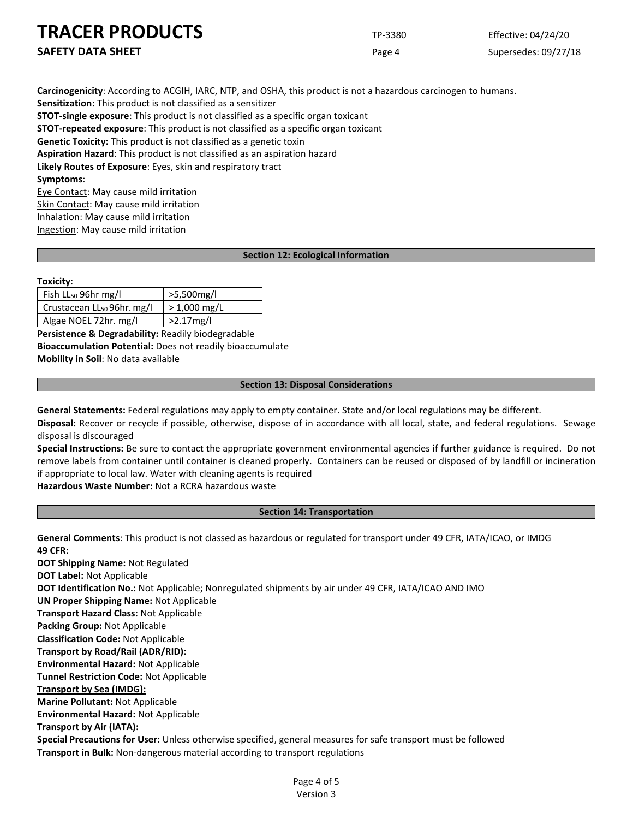**SAFETY DATA SHEET** SUPERFOUR CONSUMING THE Page 4 Supersedes: 09/27/18

**Carcinogenicity**: According to ACGIH, IARC, NTP, and OSHA, this product is not a hazardous carcinogen to humans. **Sensitization:** This product is not classified as a sensitizer **STOT-single exposure**: This product is not classified as a specific organ toxicant **STOT-repeated exposure**: This product is not classified as a specific organ toxicant **Genetic Toxicity:** This product is not classified as a genetic toxin **Aspiration Hazard**: This product is not classified as an aspiration hazard **Likely Routes of Exposure**: Eyes, skin and respiratory tract **Symptoms**:

Eye Contact: May cause mild irritation Skin Contact: May cause mild irritation Inhalation: May cause mild irritation Ingestion: May cause mild irritation

## **Section 12: Ecological Information**

#### **Toxicity**:

| Fish LL <sub>50</sub> 96hr mg/l        | >5,500mg/l     |
|----------------------------------------|----------------|
| Crustacean LL <sub>50</sub> 96hr. mg/l | $>$ 1,000 mg/L |
| Algae NOEL 72hr. mg/l                  | $>2.17$ mg/l   |

**Persistence & Degradability:** Readily biodegradable **Bioaccumulation Potential:** Does not readily bioaccumulate **Mobility in Soil**: No data available

## **Section 13: Disposal Considerations**

**General Statements:** Federal regulations may apply to empty container. State and/or local regulations may be different. **Disposal:** Recover or recycle if possible, otherwise, dispose of in accordance with all local, state, and federal regulations. Sewage disposal is discouraged

**Special Instructions:** Be sure to contact the appropriate government environmental agencies if further guidance is required. Do not remove labels from container until container is cleaned properly. Containers can be reused or disposed of by landfill or incineration if appropriate to local law. Water with cleaning agents is required

**Hazardous Waste Number:** Not a RCRA hazardous waste

## **Section 14: Transportation**

**General Comments**: This product is not classed as hazardous or regulated for transport under 49 CFR, IATA/ICAO, or IMDG **49 CFR:**

**DOT Shipping Name:** Not Regulated **DOT Label:** Not Applicable **DOT Identification No.:** Not Applicable; Nonregulated shipments by air under 49 CFR, IATA/ICAO AND IMO **UN Proper Shipping Name:** Not Applicable **Transport Hazard Class:** Not Applicable **Packing Group:** Not Applicable **Classification Code:** Not Applicable **Transport by Road/Rail (ADR/RID): Environmental Hazard:** Not Applicable **Tunnel Restriction Code:** Not Applicable **Transport by Sea (IMDG): Marine Pollutant:** Not Applicable **Environmental Hazard:** Not Applicable **Transport by Air (IATA): Special Precautions for User:** Unless otherwise specified, general measures for safe transport must be followed **Transport in Bulk:** Non-dangerous material according to transport regulations